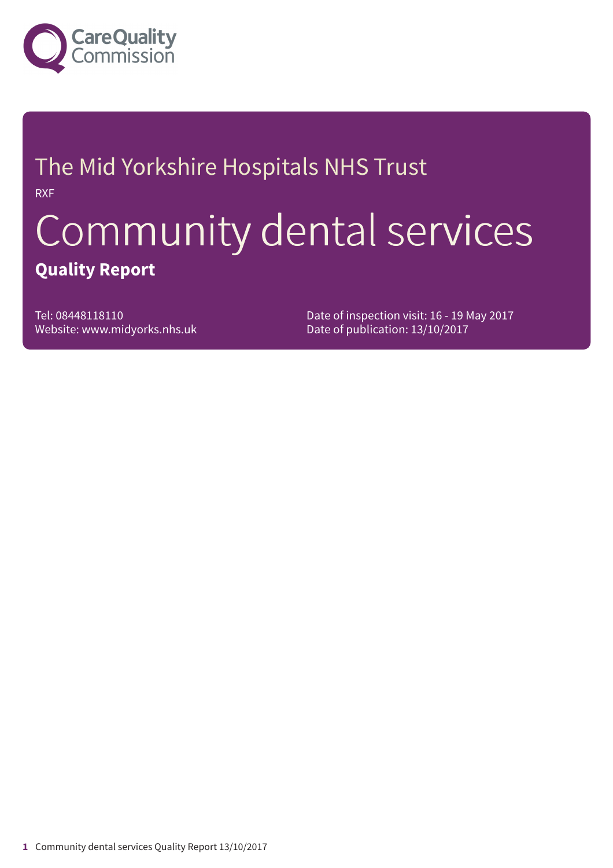

# The Mid Yorkshire Hospitals NHS Trust RXF

# Community dental services **Quality Report**

Tel: 08448118110 Website: www.midyorks.nhs.uk Date of inspection visit: 16 - 19 May 2017 Date of publication: 13/10/2017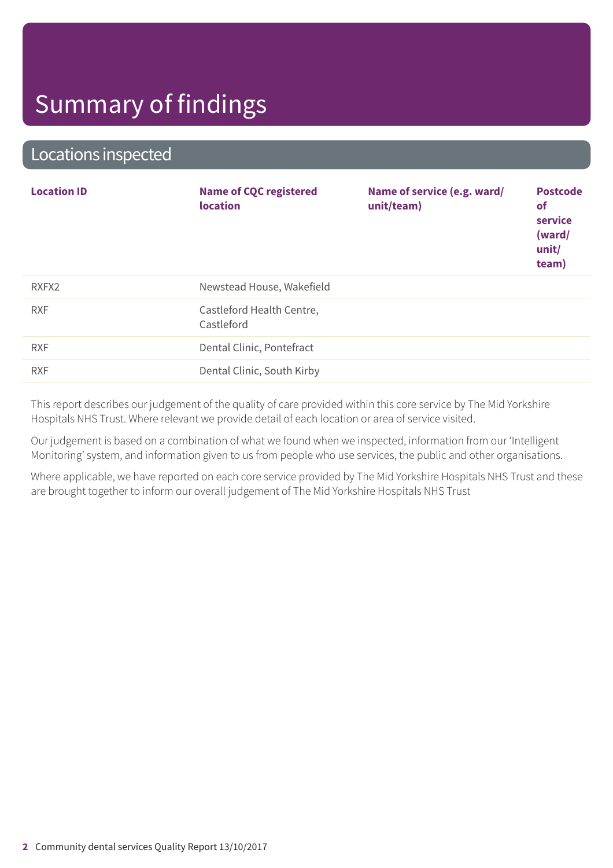### Locations inspected

| <b>Location ID</b> | <b>Name of CQC registered</b><br><b>location</b> | Name of service (e.g. ward/<br>unit/team) | <b>Postcode</b><br><b>of</b><br>service<br>(ward/<br>unit/<br>team) |
|--------------------|--------------------------------------------------|-------------------------------------------|---------------------------------------------------------------------|
| RXFX2              | Newstead House, Wakefield                        |                                           |                                                                     |
| <b>RXF</b>         | Castleford Health Centre,<br>Castleford          |                                           |                                                                     |
| <b>RXF</b>         | Dental Clinic, Pontefract                        |                                           |                                                                     |
| <b>RXF</b>         | Dental Clinic, South Kirby                       |                                           |                                                                     |

This report describes our judgement of the quality of care provided within this core service by The Mid Yorkshire Hospitals NHS Trust. Where relevant we provide detail of each location or area of service visited.

Our judgement is based on a combination of what we found when we inspected, information from our 'Intelligent Monitoring' system, and information given to us from people who use services, the public and other organisations.

Where applicable, we have reported on each core service provided by The Mid Yorkshire Hospitals NHS Trust and these are brought together to inform our overall judgement of The Mid Yorkshire Hospitals NHS Trust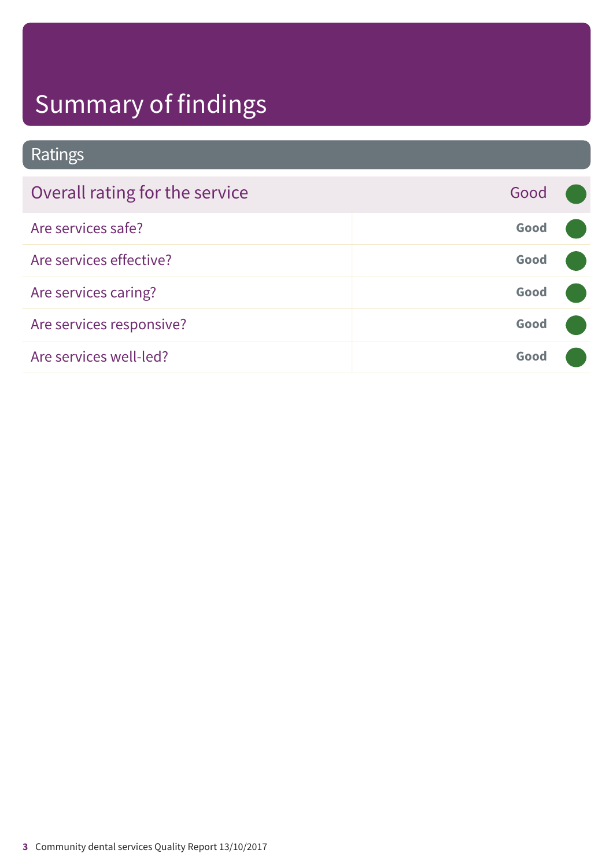### Ratings

| Overall rating for the service | Good |  |
|--------------------------------|------|--|
| Are services safe?             | Good |  |
| Are services effective?        | Good |  |
| Are services caring?           | Good |  |
| Are services responsive?       | Good |  |
| Are services well-led?         | Good |  |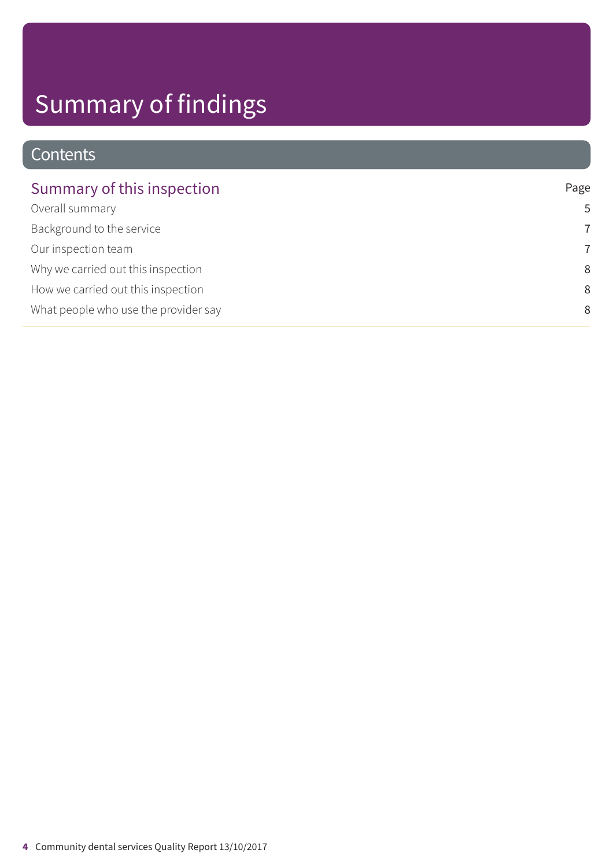### **Contents**

| Summary of this inspection           | Page           |
|--------------------------------------|----------------|
| Overall summary                      | 5              |
| Background to the service            | $\overline{7}$ |
| Our inspection team                  | 7              |
| Why we carried out this inspection   | 8              |
| How we carried out this inspection   | 8              |
| What people who use the provider say | 8              |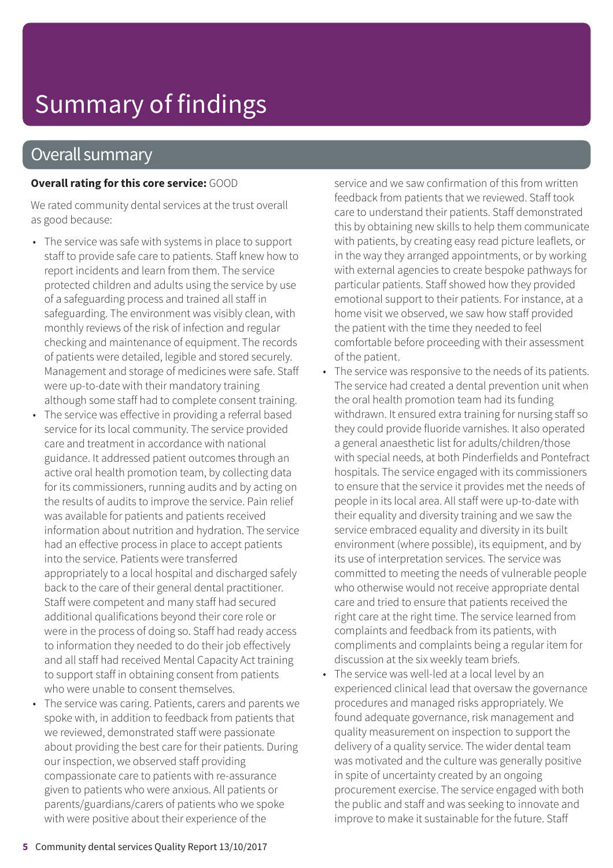### Overall summary

#### **Overall rating for this core service:** GOOD

We rated community dental services at the trust overall as good because:

- The service was safe with systems in place to support staff to provide safe care to patients. Staff knew how to report incidents and learn from them. The service protected children and adults using the service by use of a safeguarding process and trained all staff in safeguarding. The environment was visibly clean, with monthly reviews of the risk of infection and regular checking and maintenance of equipment. The records of patients were detailed, legible and stored securely. Management and storage of medicines were safe. Staff were up-to-date with their mandatory training although some staff had to complete consent training.
- The service was effective in providing a referral based service for its local community. The service provided care and treatment in accordance with national guidance. It addressed patient outcomes through an active oral health promotion team, by collecting data for its commissioners, running audits and by acting on the results of audits to improve the service. Pain relief was available for patients and patients received information about nutrition and hydration. The service had an effective process in place to accept patients into the service. Patients were transferred appropriately to a local hospital and discharged safely back to the care of their general dental practitioner. Staff were competent and many staff had secured additional qualifications beyond their core role or were in the process of doing so. Staff had ready access to information they needed to do their job effectively and all staff had received Mental Capacity Act training to support staff in obtaining consent from patients who were unable to consent themselves.
- The service was caring. Patients, carers and parents we spoke with, in addition to feedback from patients that we reviewed, demonstrated staff were passionate about providing the best care for their patients. During our inspection, we observed staff providing compassionate care to patients with re-assurance given to patients who were anxious. All patients or parents/guardians/carers of patients who we spoke with were positive about their experience of the

service and we saw confirmation of this from written feedback from patients that we reviewed. Staff took care to understand their patients. Staff demonstrated this by obtaining new skills to help them communicate with patients, by creating easy read picture leaflets, or in the way they arranged appointments, or by working with external agencies to create bespoke pathways for particular patients. Staff showed how they provided emotional support to their patients. For instance, at a home visit we observed, we saw how staff provided the patient with the time they needed to feel comfortable before proceeding with their assessment of the patient.

- The service was responsive to the needs of its patients. The service had created a dental prevention unit when the oral health promotion team had its funding withdrawn. It ensured extra training for nursing staff so they could provide fluoride varnishes. It also operated a general anaesthetic list for adults/children/those with special needs, at both Pinderfields and Pontefract hospitals. The service engaged with its commissioners to ensure that the service it provides met the needs of people in its local area. All staff were up-to-date with their equality and diversity training and we saw the service embraced equality and diversity in its built environment (where possible), its equipment, and by its use of interpretation services. The service was committed to meeting the needs of vulnerable people who otherwise would not receive appropriate dental care and tried to ensure that patients received the right care at the right time. The service learned from complaints and feedback from its patients, with compliments and complaints being a regular item for discussion at the six weekly team briefs.
- The service was well-led at a local level by an experienced clinical lead that oversaw the governance procedures and managed risks appropriately. We found adequate governance, risk management and quality measurement on inspection to support the delivery of a quality service. The wider dental team was motivated and the culture was generally positive in spite of uncertainty created by an ongoing procurement exercise. The service engaged with both the public and staff and was seeking to innovate and improve to make it sustainable for the future. Staff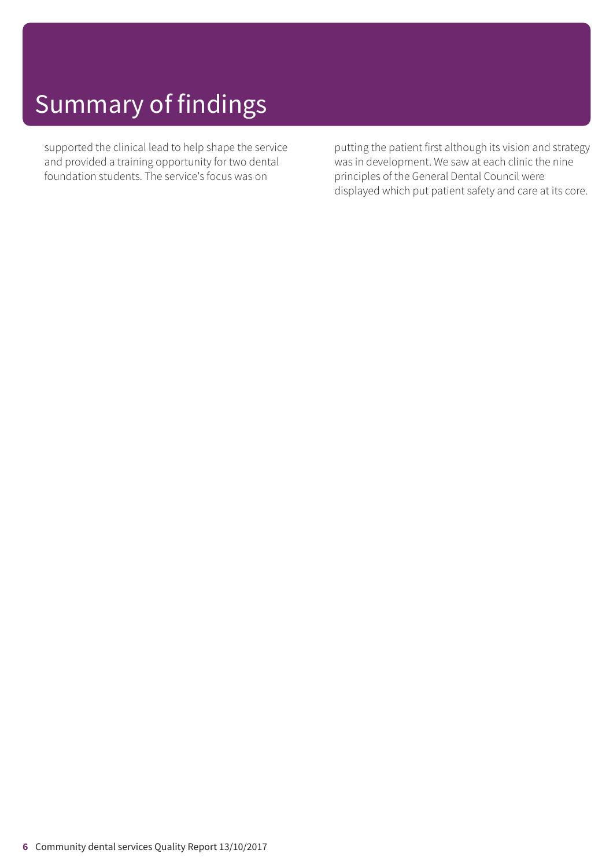supported the clinical lead to help shape the service and provided a training opportunity for two dental foundation students. The service's focus was on

putting the patient first although its vision and strategy was in development. We saw at each clinic the nine principles of the General Dental Council were displayed which put patient safety and care at its core.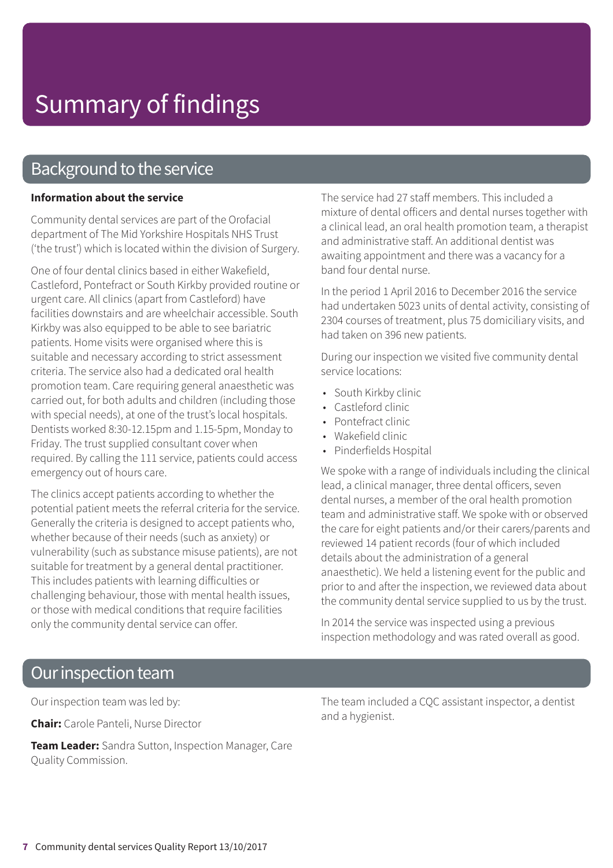### Background to the service

#### **Information about the service**

Community dental services are part of the Orofacial department of The Mid Yorkshire Hospitals NHS Trust ('the trust') which is located within the division of Surgery.

One of four dental clinics based in either Wakefield, Castleford, Pontefract or South Kirkby provided routine or urgent care. All clinics (apart from Castleford) have facilities downstairs and are wheelchair accessible. South Kirkby was also equipped to be able to see bariatric patients. Home visits were organised where this is suitable and necessary according to strict assessment criteria. The service also had a dedicated oral health promotion team. Care requiring general anaesthetic was carried out, for both adults and children (including those with special needs), at one of the trust's local hospitals. Dentists worked 8:30-12.15pm and 1.15-5pm, Monday to Friday. The trust supplied consultant cover when required. By calling the 111 service, patients could access emergency out of hours care.

The clinics accept patients according to whether the potential patient meets the referral criteria for the service. Generally the criteria is designed to accept patients who, whether because of their needs (such as anxiety) or vulnerability (such as substance misuse patients), are not suitable for treatment by a general dental practitioner. This includes patients with learning difficulties or challenging behaviour, those with mental health issues, or those with medical conditions that require facilities only the community dental service can offer.

The service had 27 staff members. This included a mixture of dental officers and dental nurses together with a clinical lead, an oral health promotion team, a therapist and administrative staff. An additional dentist was awaiting appointment and there was a vacancy for a band four dental nurse.

In the period 1 April 2016 to December 2016 the service had undertaken 5023 units of dental activity, consisting of 2304 courses of treatment, plus 75 domiciliary visits, and had taken on 396 new patients.

During our inspection we visited five community dental service locations:

- South Kirkby clinic
- Castleford clinic
- Pontefract clinic
- Wakefield clinic
- Pinderfields Hospital

We spoke with a range of individuals including the clinical lead, a clinical manager, three dental officers, seven dental nurses, a member of the oral health promotion team and administrative staff. We spoke with or observed the care for eight patients and/or their carers/parents and reviewed 14 patient records (four of which included details about the administration of a general anaesthetic). We held a listening event for the public and prior to and after the inspection, we reviewed data about the community dental service supplied to us by the trust.

In 2014 the service was inspected using a previous inspection methodology and was rated overall as good.

### Our inspection team

Our inspection team was led by:

**Chair:** Carole Panteli, Nurse Director

**Team Leader:** Sandra Sutton, Inspection Manager, Care Quality Commission.

The team included a CQC assistant inspector, a dentist and a hygienist.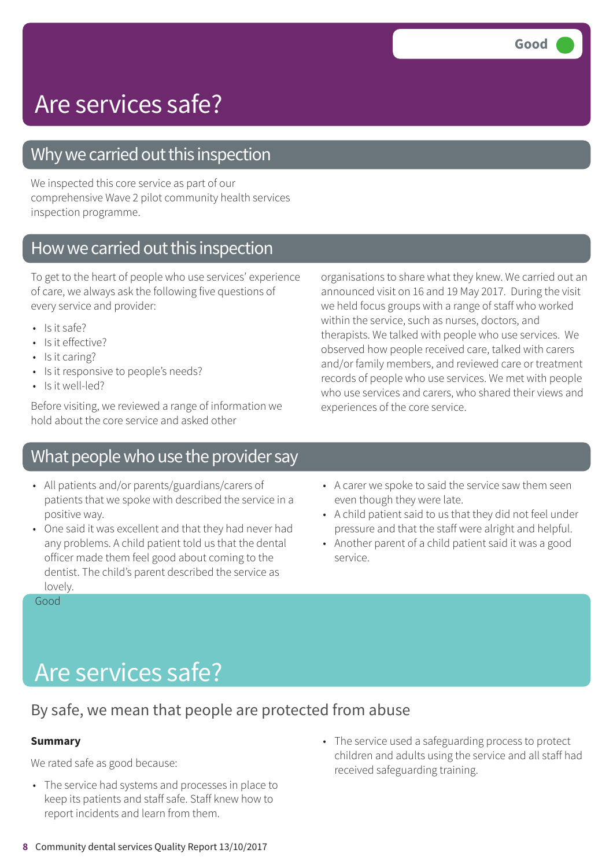### Why we carried out this inspection

We inspected this core service as part of our comprehensive Wave 2 pilot community health services inspection programme.

### How we carried out this inspection

To get to the heart of people who use services' experience of care, we always ask the following five questions of every service and provider:

- $\cdot$  Is it safe?
- Is it effective?
- Is it caring?
- Is it responsive to people's needs?
- Is it well-led?

Before visiting, we reviewed a range of information we hold about the core service and asked other

### What people who use the provider say

- All patients and/or parents/guardians/carers of patients that we spoke with described the service in a positive way.
- One said it was excellent and that they had never had any problems. A child patient told us that the dental officer made them feel good about coming to the dentist. The child's parent described the service as lovely.

• A carer we spoke to said the service saw them seen even though they were late.

organisations to share what they knew. We carried out an announced visit on 16 and 19 May 2017. During the visit we held focus groups with a range of staff who worked

therapists. We talked with people who use services. We observed how people received care, talked with carers and/or family members, and reviewed care or treatment records of people who use services. We met with people who use services and carers, who shared their views and

within the service, such as nurses, doctors, and

experiences of the core service.

- A child patient said to us that they did not feel under pressure and that the staff were alright and helpful.
- Another parent of a child patient said it was a good service.

Good

# Are services safe?

### By safe, we mean that people are protected from abuse

#### **Summary**

We rated safe as good because:

- The service had systems and processes in place to keep its patients and staff safe. Staff knew how to report incidents and learn from them.
- The service used a safeguarding process to protect children and adults using the service and all staff had received safeguarding training.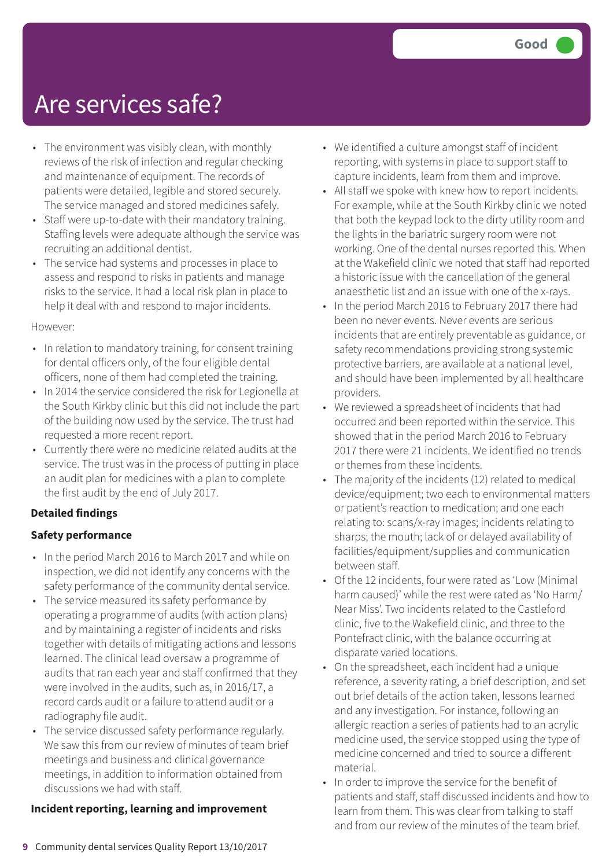- The environment was visibly clean, with monthly reviews of the risk of infection and regular checking and maintenance of equipment. The records of patients were detailed, legible and stored securely. The service managed and stored medicines safely.
- Staff were up-to-date with their mandatory training. Staffing levels were adequate although the service was recruiting an additional dentist.
- The service had systems and processes in place to assess and respond to risks in patients and manage risks to the service. It had a local risk plan in place to help it deal with and respond to major incidents.

#### However:

- In relation to mandatory training, for consent training for dental officers only, of the four eligible dental officers, none of them had completed the training.
- In 2014 the service considered the risk for Legionella at the South Kirkby clinic but this did not include the part of the building now used by the service. The trust had requested a more recent report.
- Currently there were no medicine related audits at the service. The trust was in the process of putting in place an audit plan for medicines with a plan to complete the first audit by the end of July 2017.

#### **Detailed findings**

#### **Safety performance**

- In the period March 2016 to March 2017 and while on inspection, we did not identify any concerns with the safety performance of the community dental service.
- The service measured its safety performance by operating a programme of audits (with action plans) and by maintaining a register of incidents and risks together with details of mitigating actions and lessons learned. The clinical lead oversaw a programme of audits that ran each year and staff confirmed that they were involved in the audits, such as, in 2016/17, a record cards audit or a failure to attend audit or a radiography file audit.
- The service discussed safety performance regularly. We saw this from our review of minutes of team brief meetings and business and clinical governance meetings, in addition to information obtained from discussions we had with staff.

#### **Incident reporting, learning and improvement**

- We identified a culture amongst staff of incident reporting, with systems in place to support staff to capture incidents, learn from them and improve.
- All staff we spoke with knew how to report incidents. For example, while at the South Kirkby clinic we noted that both the keypad lock to the dirty utility room and the lights in the bariatric surgery room were not working. One of the dental nurses reported this. When at the Wakefield clinic we noted that staff had reported a historic issue with the cancellation of the general anaesthetic list and an issue with one of the x-rays.
- In the period March 2016 to February 2017 there had been no never events. Never events are serious incidents that are entirely preventable as guidance, or safety recommendations providing strong systemic protective barriers, are available at a national level, and should have been implemented by all healthcare providers.
- We reviewed a spreadsheet of incidents that had occurred and been reported within the service. This showed that in the period March 2016 to February 2017 there were 21 incidents. We identified no trends or themes from these incidents.
- The majority of the incidents (12) related to medical device/equipment; two each to environmental matters or patient's reaction to medication; and one each relating to: scans/x-ray images; incidents relating to sharps; the mouth; lack of or delayed availability of facilities/equipment/supplies and communication between staff.
- Of the 12 incidents, four were rated as 'Low (Minimal harm caused)' while the rest were rated as 'No Harm/ Near Miss'. Two incidents related to the Castleford clinic, five to the Wakefield clinic, and three to the Pontefract clinic, with the balance occurring at disparate varied locations.
- On the spreadsheet, each incident had a unique reference, a severity rating, a brief description, and set out brief details of the action taken, lessons learned and any investigation. For instance, following an allergic reaction a series of patients had to an acrylic medicine used, the service stopped using the type of medicine concerned and tried to source a different material.
- In order to improve the service for the benefit of patients and staff, staff discussed incidents and how to learn from them. This was clear from talking to staff and from our review of the minutes of the team brief.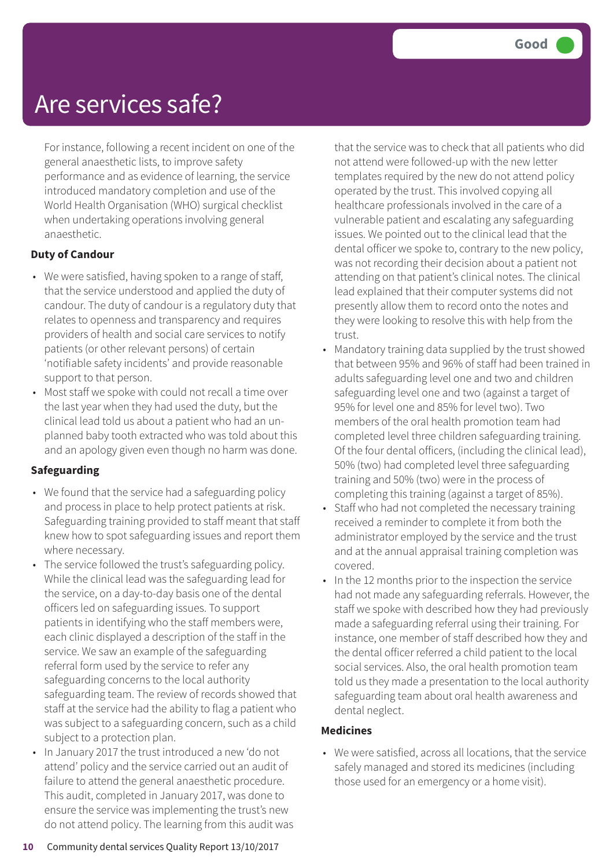For instance, following a recent incident on one of the general anaesthetic lists, to improve safety performance and as evidence of learning, the service introduced mandatory completion and use of the World Health Organisation (WHO) surgical checklist when undertaking operations involving general anaesthetic.

#### **Duty of Candour**

- We were satisfied, having spoken to a range of staff, that the service understood and applied the duty of candour. The duty of candour is a regulatory duty that relates to openness and transparency and requires providers of health and social care services to notify patients (or other relevant persons) of certain 'notifiable safety incidents' and provide reasonable support to that person.
- Most staff we spoke with could not recall a time over the last year when they had used the duty, but the clinical lead told us about a patient who had an unplanned baby tooth extracted who was told about this and an apology given even though no harm was done.

#### **Safeguarding**

- We found that the service had a safeguarding policy and process in place to help protect patients at risk. Safeguarding training provided to staff meant that staff knew how to spot safeguarding issues and report them where necessary.
- The service followed the trust's safeguarding policy. While the clinical lead was the safeguarding lead for the service, on a day-to-day basis one of the dental officers led on safeguarding issues. To support patients in identifying who the staff members were, each clinic displayed a description of the staff in the service. We saw an example of the safeguarding referral form used by the service to refer any safeguarding concerns to the local authority safeguarding team. The review of records showed that staff at the service had the ability to flag a patient who was subject to a safeguarding concern, such as a child subject to a protection plan.
- In January 2017 the trust introduced a new 'do not attend' policy and the service carried out an audit of failure to attend the general anaesthetic procedure. This audit, completed in January 2017, was done to ensure the service was implementing the trust's new do not attend policy. The learning from this audit was

that the service was to check that all patients who did not attend were followed-up with the new letter templates required by the new do not attend policy operated by the trust. This involved copying all healthcare professionals involved in the care of a vulnerable patient and escalating any safeguarding issues. We pointed out to the clinical lead that the dental officer we spoke to, contrary to the new policy, was not recording their decision about a patient not attending on that patient's clinical notes. The clinical lead explained that their computer systems did not presently allow them to record onto the notes and they were looking to resolve this with help from the trust.

- Mandatory training data supplied by the trust showed that between 95% and 96% of staff had been trained in adults safeguarding level one and two and children safeguarding level one and two (against a target of 95% for level one and 85% for level two). Two members of the oral health promotion team had completed level three children safeguarding training. Of the four dental officers, (including the clinical lead), 50% (two) had completed level three safeguarding training and 50% (two) were in the process of completing this training (against a target of 85%).
- Staff who had not completed the necessary training received a reminder to complete it from both the administrator employed by the service and the trust and at the annual appraisal training completion was covered.
- In the 12 months prior to the inspection the service had not made any safeguarding referrals. However, the staff we spoke with described how they had previously made a safeguarding referral using their training. For instance, one member of staff described how they and the dental officer referred a child patient to the local social services. Also, the oral health promotion team told us they made a presentation to the local authority safeguarding team about oral health awareness and dental neglect.

#### **Medicines**

• We were satisfied, across all locations, that the service safely managed and stored its medicines (including those used for an emergency or a home visit).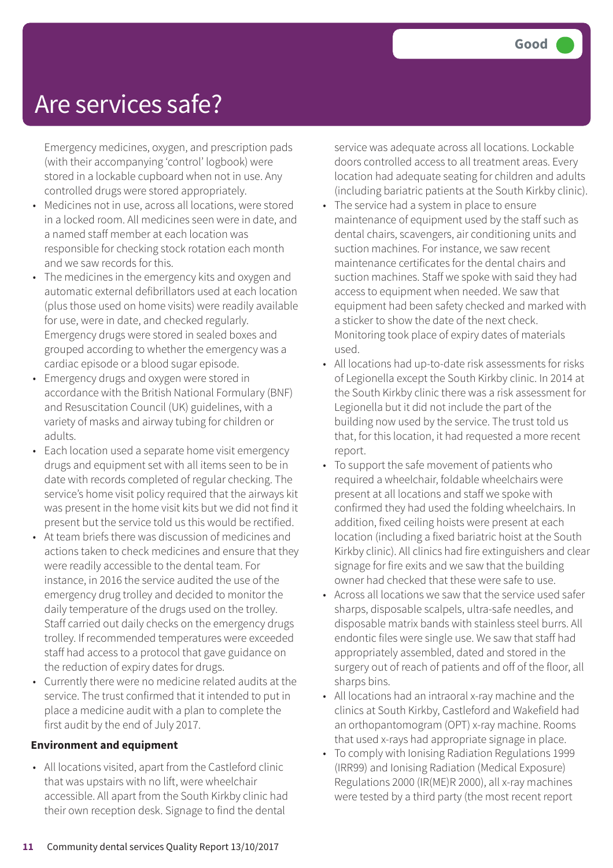Emergency medicines, oxygen, and prescription pads (with their accompanying 'control' logbook) were stored in a lockable cupboard when not in use. Any controlled drugs were stored appropriately.

- Medicines not in use, across all locations, were stored in a locked room. All medicines seen were in date, and a named staff member at each location was responsible for checking stock rotation each month and we saw records for this.
- The medicines in the emergency kits and oxygen and automatic external defibrillators used at each location (plus those used on home visits) were readily available for use, were in date, and checked regularly. Emergency drugs were stored in sealed boxes and grouped according to whether the emergency was a cardiac episode or a blood sugar episode.
- Emergency drugs and oxygen were stored in accordance with the British National Formulary (BNF) and Resuscitation Council (UK) guidelines, with a variety of masks and airway tubing for children or adults.
- Each location used a separate home visit emergency drugs and equipment set with all items seen to be in date with records completed of regular checking. The service's home visit policy required that the airways kit was present in the home visit kits but we did not find it present but the service told us this would be rectified.
- At team briefs there was discussion of medicines and actions taken to check medicines and ensure that they were readily accessible to the dental team. For instance, in 2016 the service audited the use of the emergency drug trolley and decided to monitor the daily temperature of the drugs used on the trolley. Staff carried out daily checks on the emergency drugs trolley. If recommended temperatures were exceeded staff had access to a protocol that gave guidance on the reduction of expiry dates for drugs.
- Currently there were no medicine related audits at the service. The trust confirmed that it intended to put in place a medicine audit with a plan to complete the first audit by the end of July 2017.

#### **Environment and equipment**

• All locations visited, apart from the Castleford clinic that was upstairs with no lift, were wheelchair accessible. All apart from the South Kirkby clinic had their own reception desk. Signage to find the dental

service was adequate across all locations. Lockable doors controlled access to all treatment areas. Every location had adequate seating for children and adults (including bariatric patients at the South Kirkby clinic).

- The service had a system in place to ensure maintenance of equipment used by the staff such as dental chairs, scavengers, air conditioning units and suction machines. For instance, we saw recent maintenance certificates for the dental chairs and suction machines. Staff we spoke with said they had access to equipment when needed. We saw that equipment had been safety checked and marked with a sticker to show the date of the next check. Monitoring took place of expiry dates of materials used.
- All locations had up-to-date risk assessments for risks of Legionella except the South Kirkby clinic. In 2014 at the South Kirkby clinic there was a risk assessment for Legionella but it did not include the part of the building now used by the service. The trust told us that, for this location, it had requested a more recent report.
- To support the safe movement of patients who required a wheelchair, foldable wheelchairs were present at all locations and staff we spoke with confirmed they had used the folding wheelchairs. In addition, fixed ceiling hoists were present at each location (including a fixed bariatric hoist at the South Kirkby clinic). All clinics had fire extinguishers and clear signage for fire exits and we saw that the building owner had checked that these were safe to use.
- Across all locations we saw that the service used safer sharps, disposable scalpels, ultra-safe needles, and disposable matrix bands with stainless steel burrs. All endontic files were single use. We saw that staff had appropriately assembled, dated and stored in the surgery out of reach of patients and off of the floor, all sharps bins.
- All locations had an intraoral x-ray machine and the clinics at South Kirkby, Castleford and Wakefield had an orthopantomogram (OPT) x-ray machine. Rooms that used x-rays had appropriate signage in place.
- To comply with Ionising Radiation Regulations 1999 (IRR99) and Ionising Radiation (Medical Exposure) Regulations 2000 (IR(ME)R 2000), all x-ray machines were tested by a third party (the most recent report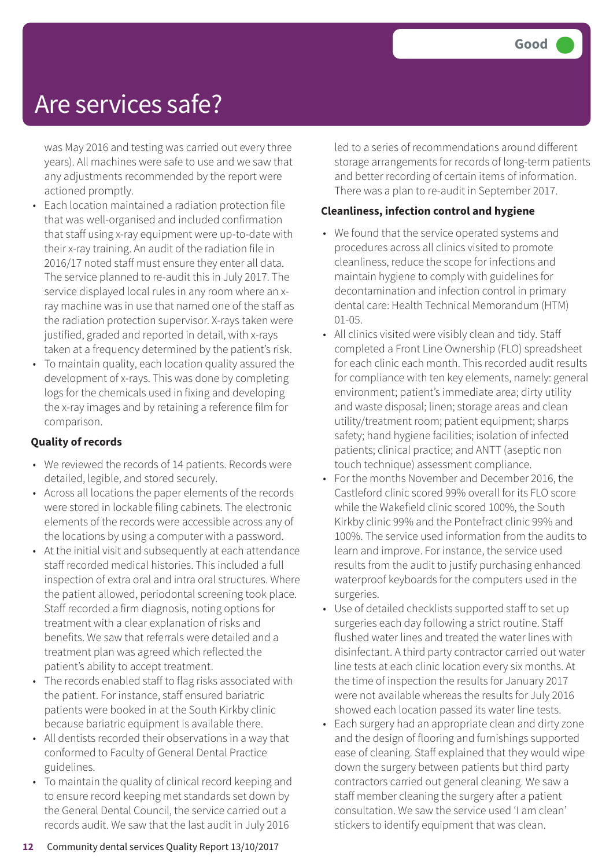was May 2016 and testing was carried out every three years). All machines were safe to use and we saw that any adjustments recommended by the report were actioned promptly.

- Each location maintained a radiation protection file that was well-organised and included confirmation that staff using x-ray equipment were up-to-date with their x-ray training. An audit of the radiation file in 2016/17 noted staff must ensure they enter all data. The service planned to re-audit this in July 2017. The service displayed local rules in any room where an xray machine was in use that named one of the staff as the radiation protection supervisor. X-rays taken were justified, graded and reported in detail, with x-rays taken at a frequency determined by the patient's risk.
- To maintain quality, each location quality assured the development of x-rays. This was done by completing logs for the chemicals used in fixing and developing the x-ray images and by retaining a reference film for comparison.

#### **Quality of records**

- We reviewed the records of 14 patients. Records were detailed, legible, and stored securely.
- Across all locations the paper elements of the records were stored in lockable filing cabinets. The electronic elements of the records were accessible across any of the locations by using a computer with a password.
- At the initial visit and subsequently at each attendance staff recorded medical histories. This included a full inspection of extra oral and intra oral structures. Where the patient allowed, periodontal screening took place. Staff recorded a firm diagnosis, noting options for treatment with a clear explanation of risks and benefits. We saw that referrals were detailed and a treatment plan was agreed which reflected the patient's ability to accept treatment.
- The records enabled staff to flag risks associated with the patient. For instance, staff ensured bariatric patients were booked in at the South Kirkby clinic because bariatric equipment is available there.
- All dentists recorded their observations in a way that conformed to Faculty of General Dental Practice guidelines.
- To maintain the quality of clinical record keeping and to ensure record keeping met standards set down by the General Dental Council, the service carried out a records audit. We saw that the last audit in July 2016

led to a series of recommendations around different storage arrangements for records of long-term patients and better recording of certain items of information. There was a plan to re-audit in September 2017.

#### **Cleanliness, infection control and hygiene**

- We found that the service operated systems and procedures across all clinics visited to promote cleanliness, reduce the scope for infections and maintain hygiene to comply with guidelines for decontamination and infection control in primary dental care: Health Technical Memorandum (HTM) 01-05.
- All clinics visited were visibly clean and tidy. Staff completed a Front Line Ownership (FLO) spreadsheet for each clinic each month. This recorded audit results for compliance with ten key elements, namely: general environment; patient's immediate area; dirty utility and waste disposal; linen; storage areas and clean utility/treatment room; patient equipment; sharps safety; hand hygiene facilities; isolation of infected patients; clinical practice; and ANTT (aseptic non touch technique) assessment compliance.
- For the months November and December 2016, the Castleford clinic scored 99% overall for its FLO score while the Wakefield clinic scored 100%, the South Kirkby clinic 99% and the Pontefract clinic 99% and 100%. The service used information from the audits to learn and improve. For instance, the service used results from the audit to justify purchasing enhanced waterproof keyboards for the computers used in the surgeries.
- Use of detailed checklists supported staff to set up surgeries each day following a strict routine. Staff flushed water lines and treated the water lines with disinfectant. A third party contractor carried out water line tests at each clinic location every six months. At the time of inspection the results for January 2017 were not available whereas the results for July 2016 showed each location passed its water line tests.
- Each surgery had an appropriate clean and dirty zone and the design of flooring and furnishings supported ease of cleaning. Staff explained that they would wipe down the surgery between patients but third party contractors carried out general cleaning. We saw a staff member cleaning the surgery after a patient consultation. We saw the service used 'I am clean' stickers to identify equipment that was clean.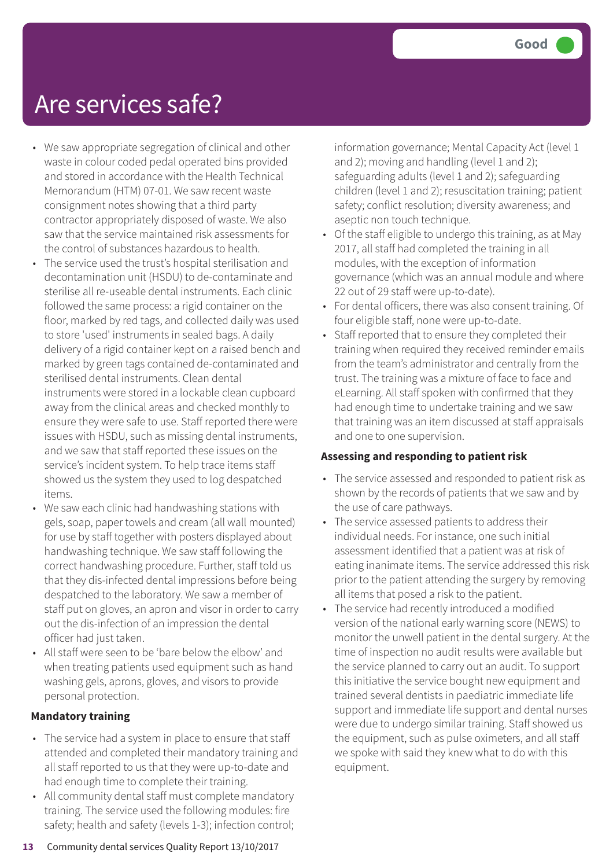- We saw appropriate segregation of clinical and other waste in colour coded pedal operated bins provided and stored in accordance with the Health Technical Memorandum (HTM) 07-01. We saw recent waste consignment notes showing that a third party contractor appropriately disposed of waste. We also saw that the service maintained risk assessments for the control of substances hazardous to health.
- The service used the trust's hospital sterilisation and decontamination unit (HSDU) to de-contaminate and sterilise all re-useable dental instruments. Each clinic followed the same process: a rigid container on the floor, marked by red tags, and collected daily was used to store 'used' instruments in sealed bags. A daily delivery of a rigid container kept on a raised bench and marked by green tags contained de-contaminated and sterilised dental instruments. Clean dental instruments were stored in a lockable clean cupboard away from the clinical areas and checked monthly to ensure they were safe to use. Staff reported there were issues with HSDU, such as missing dental instruments, and we saw that staff reported these issues on the service's incident system. To help trace items staff showed us the system they used to log despatched items.
- We saw each clinic had handwashing stations with gels, soap, paper towels and cream (all wall mounted) for use by staff together with posters displayed about handwashing technique. We saw staff following the correct handwashing procedure. Further, staff told us that they dis-infected dental impressions before being despatched to the laboratory. We saw a member of staff put on gloves, an apron and visor in order to carry out the dis-infection of an impression the dental officer had just taken.
- All staff were seen to be 'bare below the elbow' and when treating patients used equipment such as hand washing gels, aprons, gloves, and visors to provide personal protection.

#### **Mandatory training**

- The service had a system in place to ensure that staff attended and completed their mandatory training and all staff reported to us that they were up-to-date and had enough time to complete their training.
- All community dental staff must complete mandatory training. The service used the following modules: fire safety; health and safety (levels 1-3); infection control;

information governance; Mental Capacity Act (level 1 and 2); moving and handling (level 1 and 2); safeguarding adults (level 1 and 2); safeguarding children (level 1 and 2); resuscitation training; patient safety; conflict resolution; diversity awareness; and aseptic non touch technique.

- Of the staff eligible to undergo this training, as at May 2017, all staff had completed the training in all modules, with the exception of information governance (which was an annual module and where 22 out of 29 staff were up-to-date).
- For dental officers, there was also consent training. Of four eligible staff, none were up-to-date.
- Staff reported that to ensure they completed their training when required they received reminder emails from the team's administrator and centrally from the trust. The training was a mixture of face to face and eLearning. All staff spoken with confirmed that they had enough time to undertake training and we saw that training was an item discussed at staff appraisals and one to one supervision.

#### **Assessing and responding to patient risk**

- The service assessed and responded to patient risk as shown by the records of patients that we saw and by the use of care pathways.
- The service assessed patients to address their individual needs. For instance, one such initial assessment identified that a patient was at risk of eating inanimate items. The service addressed this risk prior to the patient attending the surgery by removing all items that posed a risk to the patient.
- The service had recently introduced a modified version of the national early warning score (NEWS) to monitor the unwell patient in the dental surgery. At the time of inspection no audit results were available but the service planned to carry out an audit. To support this initiative the service bought new equipment and trained several dentists in paediatric immediate life support and immediate life support and dental nurses were due to undergo similar training. Staff showed us the equipment, such as pulse oximeters, and all staff we spoke with said they knew what to do with this equipment.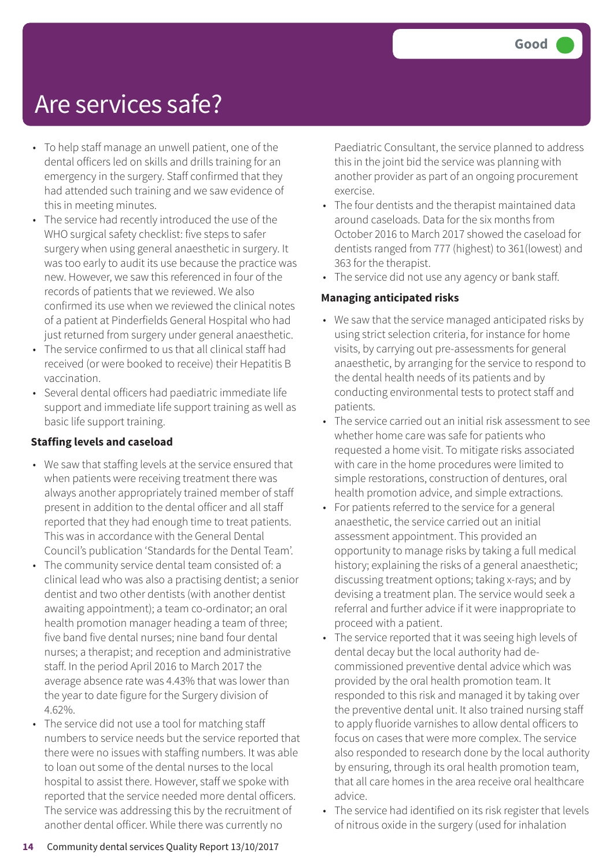- To help staff manage an unwell patient, one of the dental officers led on skills and drills training for an emergency in the surgery. Staff confirmed that they had attended such training and we saw evidence of this in meeting minutes.
- The service had recently introduced the use of the WHO surgical safety checklist: five steps to safer surgery when using general anaesthetic in surgery. It was too early to audit its use because the practice was new. However, we saw this referenced in four of the records of patients that we reviewed. We also confirmed its use when we reviewed the clinical notes of a patient at Pinderfields General Hospital who had just returned from surgery under general anaesthetic.
- The service confirmed to us that all clinical staff had received (or were booked to receive) their Hepatitis B vaccination.
- Several dental officers had paediatric immediate life support and immediate life support training as well as basic life support training.

#### **Staffing levels and caseload**

- We saw that staffing levels at the service ensured that when patients were receiving treatment there was always another appropriately trained member of staff present in addition to the dental officer and all staff reported that they had enough time to treat patients. This was in accordance with the General Dental Council's publication 'Standards for the Dental Team'.
- The community service dental team consisted of: a clinical lead who was also a practising dentist; a senior dentist and two other dentists (with another dentist awaiting appointment); a team co-ordinator; an oral health promotion manager heading a team of three; five band five dental nurses; nine band four dental nurses; a therapist; and reception and administrative staff. In the period April 2016 to March 2017 the average absence rate was 4.43% that was lower than the year to date figure for the Surgery division of 4.62%.
- The service did not use a tool for matching staff numbers to service needs but the service reported that there were no issues with staffing numbers. It was able to loan out some of the dental nurses to the local hospital to assist there. However, staff we spoke with reported that the service needed more dental officers. The service was addressing this by the recruitment of another dental officer. While there was currently no

Paediatric Consultant, the service planned to address this in the joint bid the service was planning with another provider as part of an ongoing procurement exercise.

- The four dentists and the therapist maintained data around caseloads. Data for the six months from October 2016 to March 2017 showed the caseload for dentists ranged from 777 (highest) to 361(lowest) and 363 for the therapist.
- The service did not use any agency or bank staff.

#### **Managing anticipated risks**

- We saw that the service managed anticipated risks by using strict selection criteria, for instance for home visits, by carrying out pre-assessments for general anaesthetic, by arranging for the service to respond to the dental health needs of its patients and by conducting environmental tests to protect staff and patients.
- The service carried out an initial risk assessment to see whether home care was safe for patients who requested a home visit. To mitigate risks associated with care in the home procedures were limited to simple restorations, construction of dentures, oral health promotion advice, and simple extractions.
- For patients referred to the service for a general anaesthetic, the service carried out an initial assessment appointment. This provided an opportunity to manage risks by taking a full medical history; explaining the risks of a general anaesthetic; discussing treatment options; taking x-rays; and by devising a treatment plan. The service would seek a referral and further advice if it were inappropriate to proceed with a patient.
- The service reported that it was seeing high levels of dental decay but the local authority had decommissioned preventive dental advice which was provided by the oral health promotion team. It responded to this risk and managed it by taking over the preventive dental unit. It also trained nursing staff to apply fluoride varnishes to allow dental officers to focus on cases that were more complex. The service also responded to research done by the local authority by ensuring, through its oral health promotion team, that all care homes in the area receive oral healthcare advice.
- The service had identified on its risk register that levels of nitrous oxide in the surgery (used for inhalation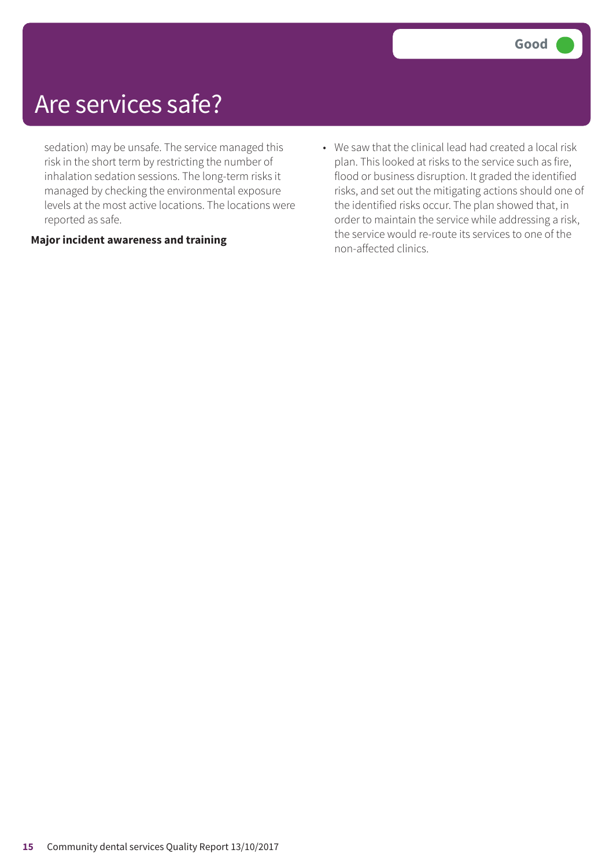sedation) may be unsafe. The service managed this risk in the short term by restricting the number of inhalation sedation sessions. The long-term risks it managed by checking the environmental exposure levels at the most active locations. The locations were reported as safe.

#### **Major incident awareness and training**

• We saw that the clinical lead had created a local risk plan. This looked at risks to the service such as fire, flood or business disruption. It graded the identified risks, and set out the mitigating actions should one of the identified risks occur. The plan showed that, in order to maintain the service while addressing a risk, the service would re-route its services to one of the non-affected clinics.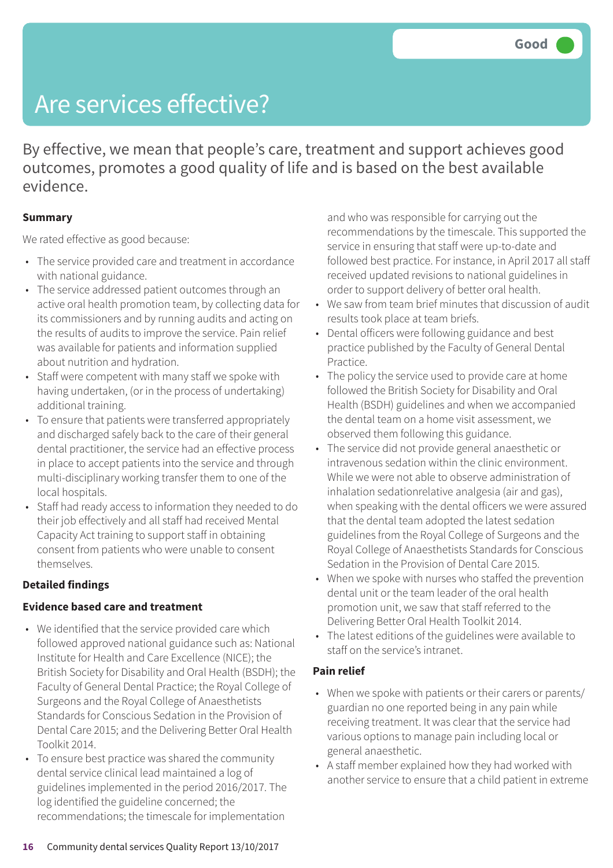By effective, we mean that people's care, treatment and support achieves good outcomes, promotes a good quality of life and is based on the best available evidence.

#### **Summary**

We rated effective as good because:

- The service provided care and treatment in accordance with national guidance.
- The service addressed patient outcomes through an active oral health promotion team, by collecting data for its commissioners and by running audits and acting on the results of audits to improve the service. Pain relief was available for patients and information supplied about nutrition and hydration.
- Staff were competent with many staff we spoke with having undertaken, (or in the process of undertaking) additional training.
- To ensure that patients were transferred appropriately and discharged safely back to the care of their general dental practitioner, the service had an effective process in place to accept patients into the service and through multi-disciplinary working transfer them to one of the local hospitals.
- Staff had ready access to information they needed to do their job effectively and all staff had received Mental Capacity Act training to support staff in obtaining consent from patients who were unable to consent themselves.

#### **Detailed findings**

#### **Evidence based care and treatment**

- We identified that the service provided care which followed approved national guidance such as: National Institute for Health and Care Excellence (NICE); the British Society for Disability and Oral Health (BSDH); the Faculty of General Dental Practice; the Royal College of Surgeons and the Royal College of Anaesthetists Standards for Conscious Sedation in the Provision of Dental Care 2015; and the Delivering Better Oral Health Toolkit 2014.
- To ensure best practice was shared the community dental service clinical lead maintained a log of guidelines implemented in the period 2016/2017. The log identified the guideline concerned; the recommendations; the timescale for implementation

and who was responsible for carrying out the recommendations by the timescale. This supported the service in ensuring that staff were up-to-date and followed best practice. For instance, in April 2017 all staff received updated revisions to national guidelines in order to support delivery of better oral health.

- We saw from team brief minutes that discussion of audit results took place at team briefs.
- Dental officers were following guidance and best practice published by the Faculty of General Dental Practice.
- The policy the service used to provide care at home followed the British Society for Disability and Oral Health (BSDH) guidelines and when we accompanied the dental team on a home visit assessment, we observed them following this guidance.
- The service did not provide general anaesthetic or intravenous sedation within the clinic environment. While we were not able to observe administration of inhalation sedationrelative analgesia (air and gas), when speaking with the dental officers we were assured that the dental team adopted the latest sedation guidelines from the Royal College of Surgeons and the Royal College of Anaesthetists Standards for Conscious Sedation in the Provision of Dental Care 2015.
- When we spoke with nurses who staffed the prevention dental unit or the team leader of the oral health promotion unit, we saw that staff referred to the Delivering Better Oral Health Toolkit 2014.
- The latest editions of the guidelines were available to staff on the service's intranet.

#### **Pain relief**

- When we spoke with patients or their carers or parents/ guardian no one reported being in any pain while receiving treatment. It was clear that the service had various options to manage pain including local or general anaesthetic.
- A staff member explained how they had worked with another service to ensure that a child patient in extreme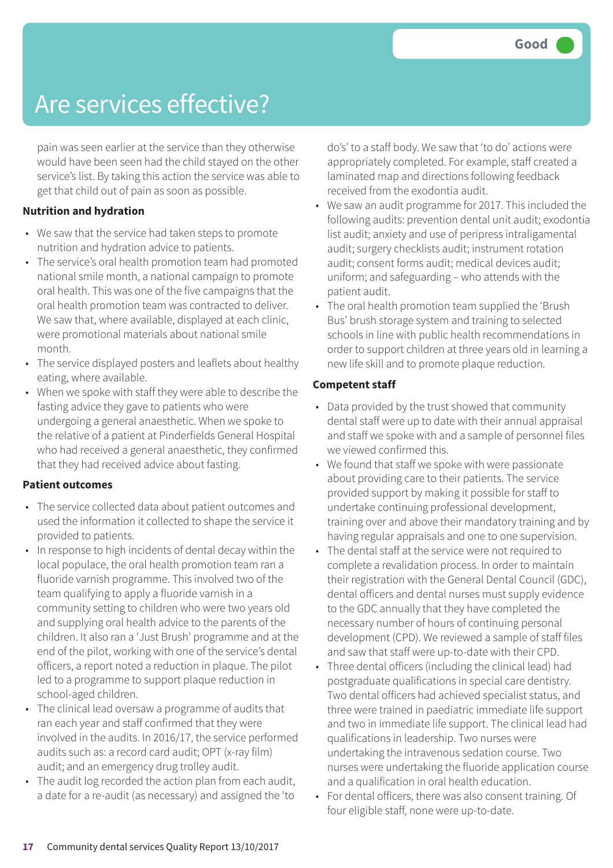pain was seen earlier at the service than they otherwise would have been seen had the child stayed on the other service's list. By taking this action the service was able to get that child out of pain as soon as possible.

#### **Nutrition and hydration**

- We saw that the service had taken steps to promote nutrition and hydration advice to patients.
- The service's oral health promotion team had promoted national smile month, a national campaign to promote oral health. This was one of the five campaigns that the oral health promotion team was contracted to deliver. We saw that, where available, displayed at each clinic, were promotional materials about national smile month.
- The service displayed posters and leaflets about healthy eating, where available.
- When we spoke with staff they were able to describe the fasting advice they gave to patients who were undergoing a general anaesthetic. When we spoke to the relative of a patient at Pinderfields General Hospital who had received a general anaesthetic, they confirmed that they had received advice about fasting.

#### **Patient outcomes**

- The service collected data about patient outcomes and used the information it collected to shape the service it provided to patients.
- In response to high incidents of dental decay within the local populace, the oral health promotion team ran a fluoride varnish programme. This involved two of the team qualifying to apply a fluoride varnish in a community setting to children who were two years old and supplying oral health advice to the parents of the children. It also ran a 'Just Brush' programme and at the end of the pilot, working with one of the service's dental officers, a report noted a reduction in plaque. The pilot led to a programme to support plaque reduction in school-aged children.
- The clinical lead oversaw a programme of audits that ran each year and staff confirmed that they were involved in the audits. In 2016/17, the service performed audits such as: a record card audit; OPT (x-ray film) audit; and an emergency drug trolley audit.
- The audit log recorded the action plan from each audit, a date for a re-audit (as necessary) and assigned the 'to

do's' to a staff body. We saw that 'to do' actions were appropriately completed. For example, staff created a laminated map and directions following feedback received from the exodontia audit.

- We saw an audit programme for 2017. This included the following audits: prevention dental unit audit; exodontia list audit; anxiety and use of peripress intraligamental audit; surgery checklists audit; instrument rotation audit; consent forms audit; medical devices audit; uniform; and safeguarding – who attends with the patient audit.
- The oral health promotion team supplied the 'Brush Bus' brush storage system and training to selected schools in line with public health recommendations in order to support children at three years old in learning a new life skill and to promote plaque reduction.

#### **Competent staff**

- Data provided by the trust showed that community dental staff were up to date with their annual appraisal and staff we spoke with and a sample of personnel files we viewed confirmed this.
- We found that staff we spoke with were passionate about providing care to their patients. The service provided support by making it possible for staff to undertake continuing professional development, training over and above their mandatory training and by having regular appraisals and one to one supervision.
- The dental staff at the service were not required to complete a revalidation process. In order to maintain their registration with the General Dental Council (GDC), dental officers and dental nurses must supply evidence to the GDC annually that they have completed the necessary number of hours of continuing personal development (CPD). We reviewed a sample of staff files and saw that staff were up-to-date with their CPD.
- Three dental officers (including the clinical lead) had postgraduate qualifications in special care dentistry. Two dental officers had achieved specialist status, and three were trained in paediatric immediate life support and two in immediate life support. The clinical lead had qualifications in leadership. Two nurses were undertaking the intravenous sedation course. Two nurses were undertaking the fluoride application course and a qualification in oral health education.
- For dental officers, there was also consent training. Of four eligible staff, none were up-to-date.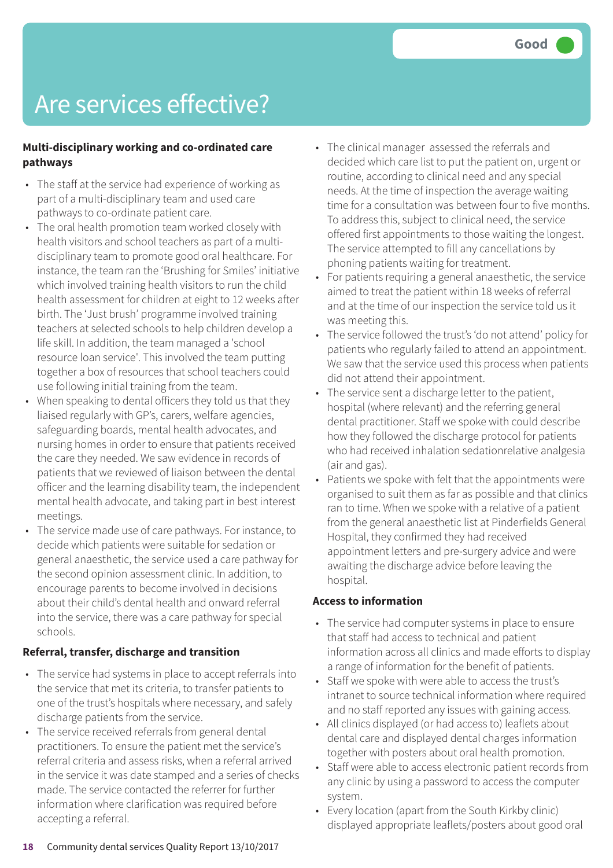#### **Multi-disciplinary working and co-ordinated care pathways**

- The staff at the service had experience of working as part of a multi-disciplinary team and used care pathways to co-ordinate patient care.
- The oral health promotion team worked closely with health visitors and school teachers as part of a multidisciplinary team to promote good oral healthcare. For instance, the team ran the 'Brushing for Smiles' initiative which involved training health visitors to run the child health assessment for children at eight to 12 weeks after birth. The 'Just brush' programme involved training teachers at selected schools to help children develop a life skill. In addition, the team managed a 'school resource loan service'. This involved the team putting together a box of resources that school teachers could use following initial training from the team.
- When speaking to dental officers they told us that they liaised regularly with GP's, carers, welfare agencies, safeguarding boards, mental health advocates, and nursing homes in order to ensure that patients received the care they needed. We saw evidence in records of patients that we reviewed of liaison between the dental officer and the learning disability team, the independent mental health advocate, and taking part in best interest meetings.
- The service made use of care pathways. For instance, to decide which patients were suitable for sedation or general anaesthetic, the service used a care pathway for the second opinion assessment clinic. In addition, to encourage parents to become involved in decisions about their child's dental health and onward referral into the service, there was a care pathway for special schools.

#### **Referral, transfer, discharge and transition**

- The service had systems in place to accept referrals into the service that met its criteria, to transfer patients to one of the trust's hospitals where necessary, and safely discharge patients from the service.
- The service received referrals from general dental practitioners. To ensure the patient met the service's referral criteria and assess risks, when a referral arrived in the service it was date stamped and a series of checks made. The service contacted the referrer for further information where clarification was required before accepting a referral.
- The clinical manager assessed the referrals and decided which care list to put the patient on, urgent or routine, according to clinical need and any special needs. At the time of inspection the average waiting time for a consultation was between four to five months. To address this, subject to clinical need, the service offered first appointments to those waiting the longest. The service attempted to fill any cancellations by phoning patients waiting for treatment.
- For patients requiring a general anaesthetic, the service aimed to treat the patient within 18 weeks of referral and at the time of our inspection the service told us it was meeting this.
- The service followed the trust's 'do not attend' policy for patients who regularly failed to attend an appointment. We saw that the service used this process when patients did not attend their appointment.
- The service sent a discharge letter to the patient, hospital (where relevant) and the referring general dental practitioner. Staff we spoke with could describe how they followed the discharge protocol for patients who had received inhalation sedationrelative analgesia (air and gas).
- Patients we spoke with felt that the appointments were organised to suit them as far as possible and that clinics ran to time. When we spoke with a relative of a patient from the general anaesthetic list at Pinderfields General Hospital, they confirmed they had received appointment letters and pre-surgery advice and were awaiting the discharge advice before leaving the hospital.

#### **Access to information**

- The service had computer systems in place to ensure that staff had access to technical and patient information across all clinics and made efforts to display a range of information for the benefit of patients.
- Staff we spoke with were able to access the trust's intranet to source technical information where required and no staff reported any issues with gaining access.
- All clinics displayed (or had access to) leaflets about dental care and displayed dental charges information together with posters about oral health promotion.
- Staff were able to access electronic patient records from any clinic by using a password to access the computer system.
- Every location (apart from the South Kirkby clinic) displayed appropriate leaflets/posters about good oral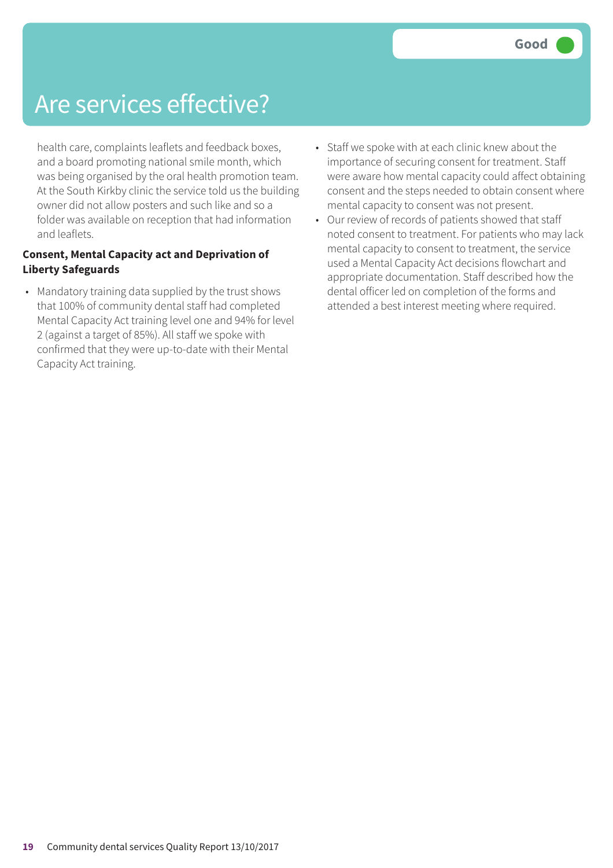health care, complaints leaflets and feedback boxes, and a board promoting national smile month, which was being organised by the oral health promotion team. At the South Kirkby clinic the service told us the building owner did not allow posters and such like and so a folder was available on reception that had information and leaflets.

#### **Consent, Mental Capacity act and Deprivation of Liberty Safeguards**

- Mandatory training data supplied by the trust shows that 100% of community dental staff had completed Mental Capacity Act training level one and 94% for level 2 (against a target of 85%). All staff we spoke with confirmed that they were up-to-date with their Mental Capacity Act training.
- Staff we spoke with at each clinic knew about the importance of securing consent for treatment. Staff were aware how mental capacity could affect obtaining consent and the steps needed to obtain consent where mental capacity to consent was not present.
- Our review of records of patients showed that staff noted consent to treatment. For patients who may lack mental capacity to consent to treatment, the service used a Mental Capacity Act decisions flowchart and appropriate documentation. Staff described how the dental officer led on completion of the forms and attended a best interest meeting where required.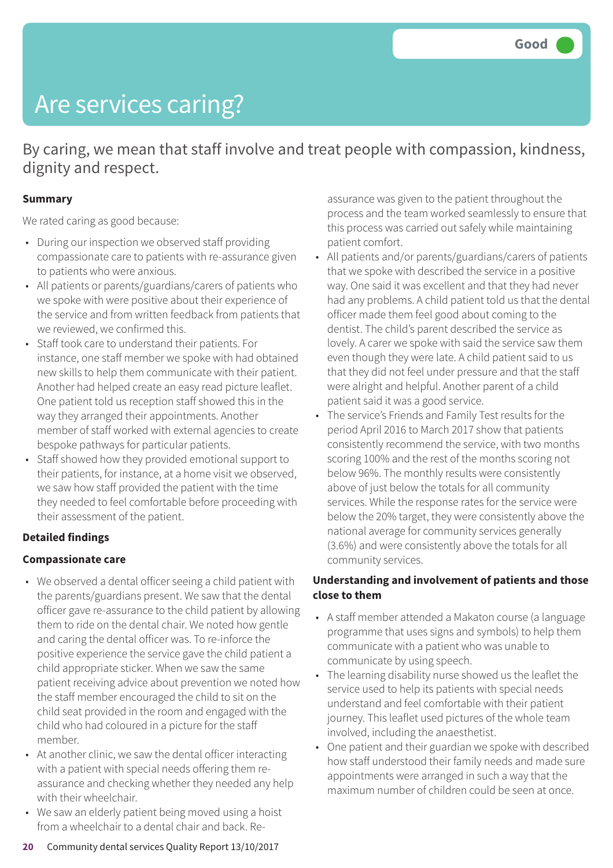# Are services caring?

By caring, we mean that staff involve and treat people with compassion, kindness, dignity and respect.

#### **Summary**

We rated caring as good because:

- During our inspection we observed staff providing compassionate care to patients with re-assurance given to patients who were anxious.
- All patients or parents/guardians/carers of patients who we spoke with were positive about their experience of the service and from written feedback from patients that we reviewed, we confirmed this.
- Staff took care to understand their patients. For instance, one staff member we spoke with had obtained new skills to help them communicate with their patient. Another had helped create an easy read picture leaflet. One patient told us reception staff showed this in the way they arranged their appointments. Another member of staff worked with external agencies to create bespoke pathways for particular patients.
- Staff showed how they provided emotional support to their patients, for instance, at a home visit we observed, we saw how staff provided the patient with the time they needed to feel comfortable before proceeding with their assessment of the patient.

#### **Detailed findings**

#### **Compassionate care**

- We observed a dental officer seeing a child patient with the parents/guardians present. We saw that the dental officer gave re-assurance to the child patient by allowing them to ride on the dental chair. We noted how gentle and caring the dental officer was. To re-inforce the positive experience the service gave the child patient a child appropriate sticker. When we saw the same patient receiving advice about prevention we noted how the staff member encouraged the child to sit on the child seat provided in the room and engaged with the child who had coloured in a picture for the staff member.
- At another clinic, we saw the dental officer interacting with a patient with special needs offering them reassurance and checking whether they needed any help with their wheelchair.
- We saw an elderly patient being moved using a hoist from a wheelchair to a dental chair and back. Re-

assurance was given to the patient throughout the process and the team worked seamlessly to ensure that this process was carried out safely while maintaining patient comfort.

- All patients and/or parents/guardians/carers of patients that we spoke with described the service in a positive way. One said it was excellent and that they had never had any problems. A child patient told us that the dental officer made them feel good about coming to the dentist. The child's parent described the service as lovely. A carer we spoke with said the service saw them even though they were late. A child patient said to us that they did not feel under pressure and that the staff were alright and helpful. Another parent of a child patient said it was a good service.
- The service's Friends and Family Test results for the period April 2016 to March 2017 show that patients consistently recommend the service, with two months scoring 100% and the rest of the months scoring not below 96%. The monthly results were consistently above of just below the totals for all community services. While the response rates for the service were below the 20% target, they were consistently above the national average for community services generally (3.6%) and were consistently above the totals for all community services.

#### **Understanding and involvement of patients and those close to them**

- A staff member attended a Makaton course (a language programme that uses signs and symbols) to help them communicate with a patient who was unable to communicate by using speech.
- The learning disability nurse showed us the leaflet the service used to help its patients with special needs understand and feel comfortable with their patient journey. This leaflet used pictures of the whole team involved, including the anaesthetist.
- One patient and their guardian we spoke with described how staff understood their family needs and made sure appointments were arranged in such a way that the maximum number of children could be seen at once.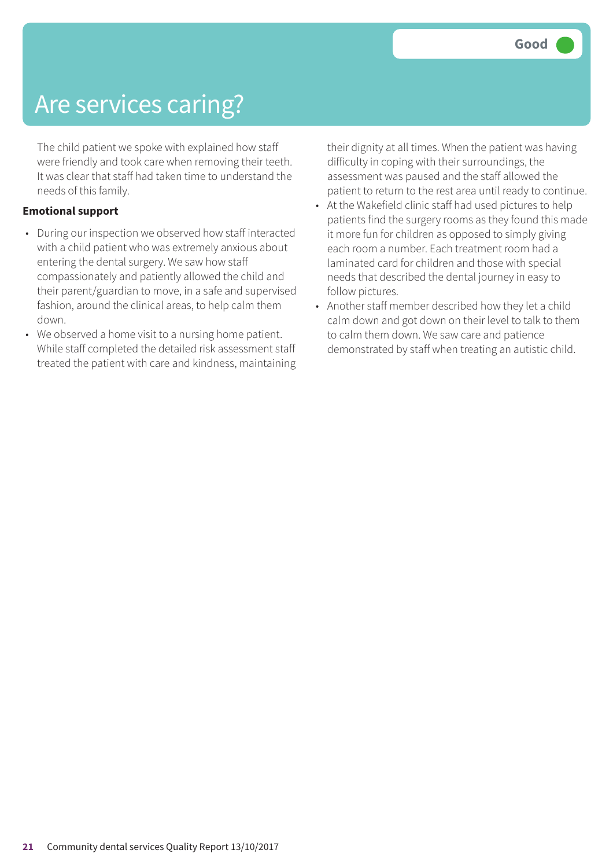## Are services caring?

The child patient we spoke with explained how staff were friendly and took care when removing their teeth. It was clear that staff had taken time to understand the needs of this family.

#### **Emotional support**

- During our inspection we observed how staff interacted with a child patient who was extremely anxious about entering the dental surgery. We saw how staff compassionately and patiently allowed the child and their parent/guardian to move, in a safe and supervised fashion, around the clinical areas, to help calm them down.
- We observed a home visit to a nursing home patient. While staff completed the detailed risk assessment staff treated the patient with care and kindness, maintaining

their dignity at all times. When the patient was having difficulty in coping with their surroundings, the assessment was paused and the staff allowed the patient to return to the rest area until ready to continue.

- At the Wakefield clinic staff had used pictures to help patients find the surgery rooms as they found this made it more fun for children as opposed to simply giving each room a number. Each treatment room had a laminated card for children and those with special needs that described the dental journey in easy to follow pictures.
- Another staff member described how they let a child calm down and got down on their level to talk to them to calm them down. We saw care and patience demonstrated by staff when treating an autistic child.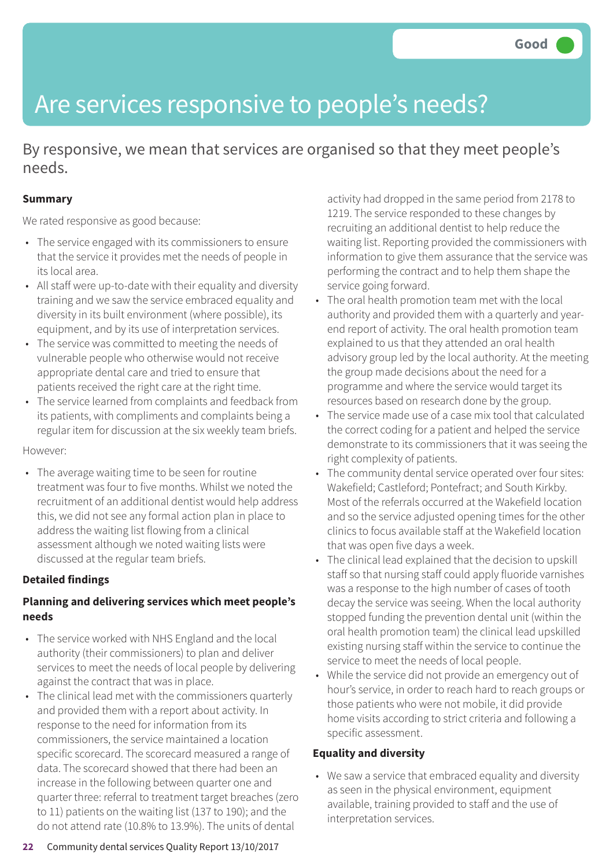# Are services responsive to people's needs?

By responsive, we mean that services are organised so that they meet people's needs.

#### **Summary**

We rated responsive as good because:

- The service engaged with its commissioners to ensure that the service it provides met the needs of people in its local area.
- All staff were up-to-date with their equality and diversity training and we saw the service embraced equality and diversity in its built environment (where possible), its equipment, and by its use of interpretation services.
- The service was committed to meeting the needs of vulnerable people who otherwise would not receive appropriate dental care and tried to ensure that patients received the right care at the right time.
- The service learned from complaints and feedback from its patients, with compliments and complaints being a regular item for discussion at the six weekly team briefs.

However:

• The average waiting time to be seen for routine treatment was four to five months. Whilst we noted the recruitment of an additional dentist would help address this, we did not see any formal action plan in place to address the waiting list flowing from a clinical assessment although we noted waiting lists were discussed at the regular team briefs.

#### **Detailed findings**

#### **Planning and delivering services which meet people's needs**

- The service worked with NHS England and the local authority (their commissioners) to plan and deliver services to meet the needs of local people by delivering against the contract that was in place.
- The clinical lead met with the commissioners quarterly and provided them with a report about activity. In response to the need for information from its commissioners, the service maintained a location specific scorecard. The scorecard measured a range of data. The scorecard showed that there had been an increase in the following between quarter one and quarter three: referral to treatment target breaches (zero to 11) patients on the waiting list (137 to 190); and the do not attend rate (10.8% to 13.9%). The units of dental

#### **Equality and diversity**

• We saw a service that embraced equality and diversity as seen in the physical environment, equipment available, training provided to staff and the use of interpretation services.

activity had dropped in the same period from 2178 to 1219. The service responded to these changes by recruiting an additional dentist to help reduce the waiting list. Reporting provided the commissioners with information to give them assurance that the service was performing the contract and to help them shape the service going forward.

- The oral health promotion team met with the local authority and provided them with a quarterly and yearend report of activity. The oral health promotion team explained to us that they attended an oral health advisory group led by the local authority. At the meeting the group made decisions about the need for a programme and where the service would target its resources based on research done by the group.
- The service made use of a case mix tool that calculated the correct coding for a patient and helped the service demonstrate to its commissioners that it was seeing the right complexity of patients.
- The community dental service operated over four sites: Wakefield; Castleford; Pontefract; and South Kirkby. Most of the referrals occurred at the Wakefield location and so the service adjusted opening times for the other clinics to focus available staff at the Wakefield location that was open five days a week.
- The clinical lead explained that the decision to upskill staff so that nursing staff could apply fluoride varnishes was a response to the high number of cases of tooth decay the service was seeing. When the local authority stopped funding the prevention dental unit (within the oral health promotion team) the clinical lead upskilled existing nursing staff within the service to continue the service to meet the needs of local people.
- While the service did not provide an emergency out of hour's service, in order to reach hard to reach groups or those patients who were not mobile, it did provide home visits according to strict criteria and following a specific assessment.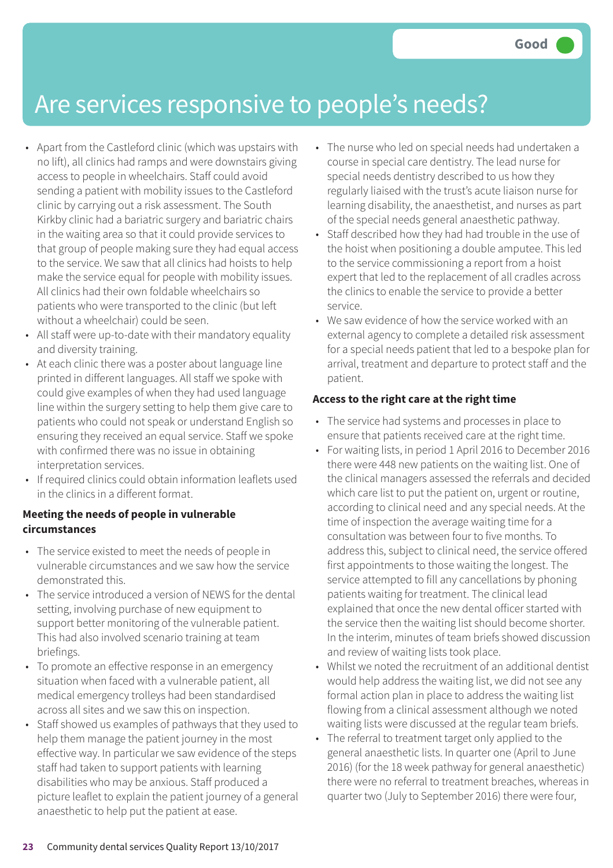### Are services responsive to people's needs?

- Apart from the Castleford clinic (which was upstairs with no lift), all clinics had ramps and were downstairs giving access to people in wheelchairs. Staff could avoid sending a patient with mobility issues to the Castleford clinic by carrying out a risk assessment. The South Kirkby clinic had a bariatric surgery and bariatric chairs in the waiting area so that it could provide services to that group of people making sure they had equal access to the service. We saw that all clinics had hoists to help make the service equal for people with mobility issues. All clinics had their own foldable wheelchairs so patients who were transported to the clinic (but left without a wheelchair) could be seen.
- All staff were up-to-date with their mandatory equality and diversity training.
- At each clinic there was a poster about language line printed in different languages. All staff we spoke with could give examples of when they had used language line within the surgery setting to help them give care to patients who could not speak or understand English so ensuring they received an equal service. Staff we spoke with confirmed there was no issue in obtaining interpretation services.
- If required clinics could obtain information leaflets used in the clinics in a different format.

#### **Meeting the needs of people in vulnerable circumstances**

- The service existed to meet the needs of people in vulnerable circumstances and we saw how the service demonstrated this.
- The service introduced a version of NEWS for the dental setting, involving purchase of new equipment to support better monitoring of the vulnerable patient. This had also involved scenario training at team briefings.
- To promote an effective response in an emergency situation when faced with a vulnerable patient, all medical emergency trolleys had been standardised across all sites and we saw this on inspection.
- Staff showed us examples of pathways that they used to help them manage the patient journey in the most effective way. In particular we saw evidence of the steps staff had taken to support patients with learning disabilities who may be anxious. Staff produced a picture leaflet to explain the patient journey of a general anaesthetic to help put the patient at ease.
- The nurse who led on special needs had undertaken a course in special care dentistry. The lead nurse for special needs dentistry described to us how they regularly liaised with the trust's acute liaison nurse for learning disability, the anaesthetist, and nurses as part of the special needs general anaesthetic pathway.
- Staff described how they had had trouble in the use of the hoist when positioning a double amputee. This led to the service commissioning a report from a hoist expert that led to the replacement of all cradles across the clinics to enable the service to provide a better service.
- We saw evidence of how the service worked with an external agency to complete a detailed risk assessment for a special needs patient that led to a bespoke plan for arrival, treatment and departure to protect staff and the patient.

#### **Access to the right care at the right time**

- The service had systems and processes in place to ensure that patients received care at the right time.
- For waiting lists, in period 1 April 2016 to December 2016 there were 448 new patients on the waiting list. One of the clinical managers assessed the referrals and decided which care list to put the patient on, urgent or routine, according to clinical need and any special needs. At the time of inspection the average waiting time for a consultation was between four to five months. To address this, subject to clinical need, the service offered first appointments to those waiting the longest. The service attempted to fill any cancellations by phoning patients waiting for treatment. The clinical lead explained that once the new dental officer started with the service then the waiting list should become shorter. In the interim, minutes of team briefs showed discussion and review of waiting lists took place.
- Whilst we noted the recruitment of an additional dentist would help address the waiting list, we did not see any formal action plan in place to address the waiting list flowing from a clinical assessment although we noted waiting lists were discussed at the regular team briefs.
- The referral to treatment target only applied to the general anaesthetic lists. In quarter one (April to June 2016) (for the 18 week pathway for general anaesthetic) there were no referral to treatment breaches, whereas in quarter two (July to September 2016) there were four,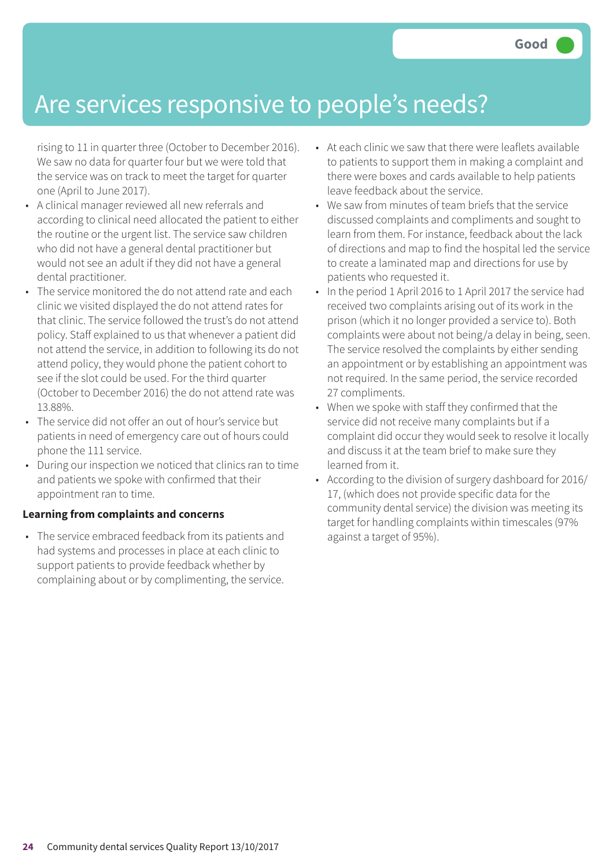### Are services responsive to people's needs?

rising to 11 in quarter three (October to December 2016). We saw no data for quarter four but we were told that the service was on track to meet the target for quarter one (April to June 2017).

- A clinical manager reviewed all new referrals and according to clinical need allocated the patient to either the routine or the urgent list. The service saw children who did not have a general dental practitioner but would not see an adult if they did not have a general dental practitioner.
- The service monitored the do not attend rate and each clinic we visited displayed the do not attend rates for that clinic. The service followed the trust's do not attend policy. Staff explained to us that whenever a patient did not attend the service, in addition to following its do not attend policy, they would phone the patient cohort to see if the slot could be used. For the third quarter (October to December 2016) the do not attend rate was 13.88%.
- The service did not offer an out of hour's service but patients in need of emergency care out of hours could phone the 111 service.
- During our inspection we noticed that clinics ran to time and patients we spoke with confirmed that their appointment ran to time.

#### **Learning from complaints and concerns**

• The service embraced feedback from its patients and had systems and processes in place at each clinic to support patients to provide feedback whether by complaining about or by complimenting, the service.

- At each clinic we saw that there were leaflets available to patients to support them in making a complaint and there were boxes and cards available to help patients leave feedback about the service.
- We saw from minutes of team briefs that the service discussed complaints and compliments and sought to learn from them. For instance, feedback about the lack of directions and map to find the hospital led the service to create a laminated map and directions for use by patients who requested it.
- In the period 1 April 2016 to 1 April 2017 the service had received two complaints arising out of its work in the prison (which it no longer provided a service to). Both complaints were about not being/a delay in being, seen. The service resolved the complaints by either sending an appointment or by establishing an appointment was not required. In the same period, the service recorded 27 compliments.
- When we spoke with staff they confirmed that the service did not receive many complaints but if a complaint did occur they would seek to resolve it locally and discuss it at the team brief to make sure they learned from it.
- According to the division of surgery dashboard for 2016/ 17, (which does not provide specific data for the community dental service) the division was meeting its target for handling complaints within timescales (97% against a target of 95%).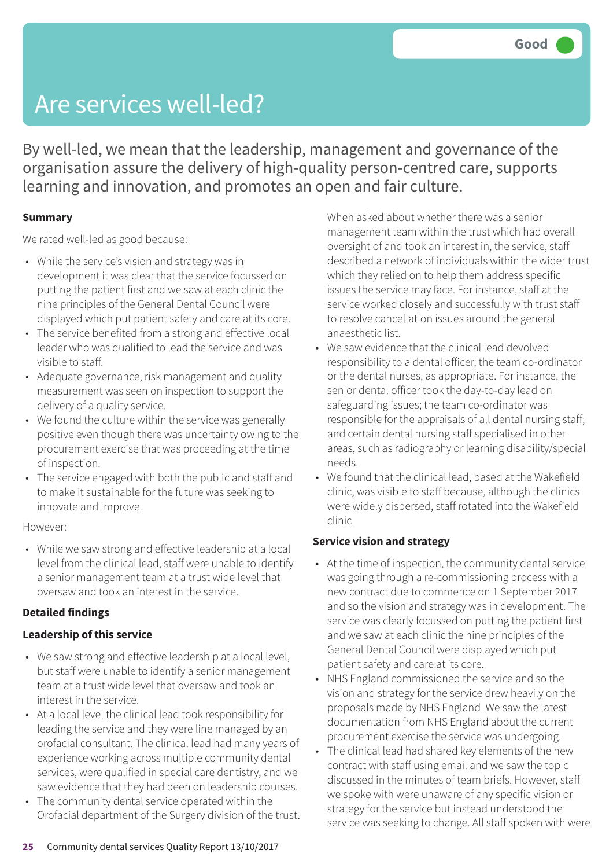## Are services well-led?

By well-led, we mean that the leadership, management and governance of the organisation assure the delivery of high-quality person-centred care, supports learning and innovation, and promotes an open and fair culture.

#### **Summary**

We rated well-led as good because:

- While the service's vision and strategy was in development it was clear that the service focussed on putting the patient first and we saw at each clinic the nine principles of the General Dental Council were displayed which put patient safety and care at its core.
- The service benefited from a strong and effective local leader who was qualified to lead the service and was visible to staff.
- Adequate governance, risk management and quality measurement was seen on inspection to support the delivery of a quality service.
- We found the culture within the service was generally positive even though there was uncertainty owing to the procurement exercise that was proceeding at the time of inspection.
- The service engaged with both the public and staff and to make it sustainable for the future was seeking to innovate and improve.

#### However:

• While we saw strong and effective leadership at a local level from the clinical lead, staff were unable to identify a senior management team at a trust wide level that oversaw and took an interest in the service.

#### **Detailed findings**

#### **Leadership of this service**

- We saw strong and effective leadership at a local level, but staff were unable to identify a senior management team at a trust wide level that oversaw and took an interest in the service.
- At a local level the clinical lead took responsibility for leading the service and they were line managed by an orofacial consultant. The clinical lead had many years of experience working across multiple community dental services, were qualified in special care dentistry, and we saw evidence that they had been on leadership courses.
- The community dental service operated within the Orofacial department of the Surgery division of the trust.

When asked about whether there was a senior management team within the trust which had overall oversight of and took an interest in, the service, staff described a network of individuals within the wider trust which they relied on to help them address specific issues the service may face. For instance, staff at the service worked closely and successfully with trust staff to resolve cancellation issues around the general anaesthetic list.

- We saw evidence that the clinical lead devolved responsibility to a dental officer, the team co-ordinator or the dental nurses, as appropriate. For instance, the senior dental officer took the day-to-day lead on safeguarding issues; the team co-ordinator was responsible for the appraisals of all dental nursing staff; and certain dental nursing staff specialised in other areas, such as radiography or learning disability/special needs.
- We found that the clinical lead, based at the Wakefield clinic, was visible to staff because, although the clinics were widely dispersed, staff rotated into the Wakefield clinic.

#### **Service vision and strategy**

- At the time of inspection, the community dental service was going through a re-commissioning process with a new contract due to commence on 1 September 2017 and so the vision and strategy was in development. The service was clearly focussed on putting the patient first and we saw at each clinic the nine principles of the General Dental Council were displayed which put patient safety and care at its core.
- NHS England commissioned the service and so the vision and strategy for the service drew heavily on the proposals made by NHS England. We saw the latest documentation from NHS England about the current procurement exercise the service was undergoing.
- The clinical lead had shared key elements of the new contract with staff using email and we saw the topic discussed in the minutes of team briefs. However, staff we spoke with were unaware of any specific vision or strategy for the service but instead understood the service was seeking to change. All staff spoken with were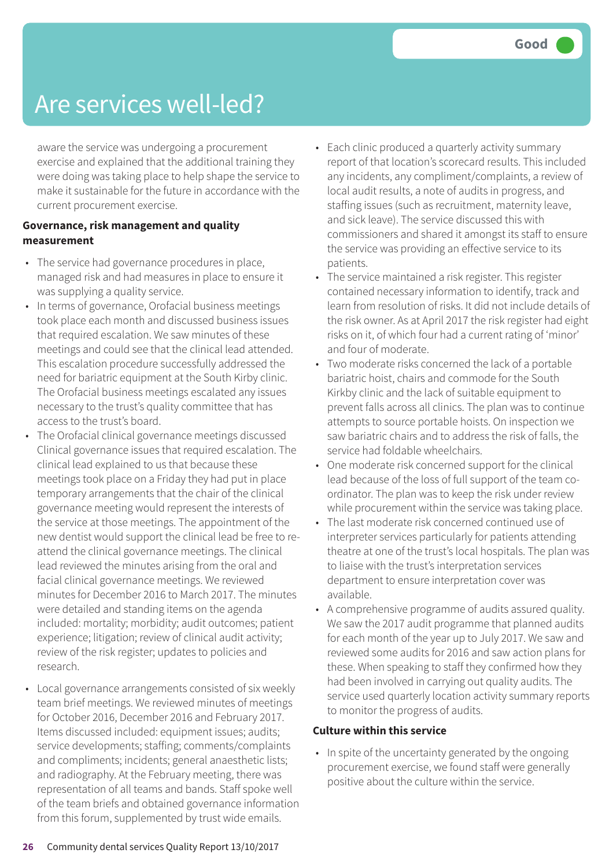### Are services well-led?

aware the service was undergoing a procurement exercise and explained that the additional training they were doing was taking place to help shape the service to make it sustainable for the future in accordance with the current procurement exercise.

#### **Governance, risk management and quality measurement**

- The service had governance procedures in place, managed risk and had measures in place to ensure it was supplying a quality service.
- In terms of governance, Orofacial business meetings took place each month and discussed business issues that required escalation. We saw minutes of these meetings and could see that the clinical lead attended. This escalation procedure successfully addressed the need for bariatric equipment at the South Kirby clinic. The Orofacial business meetings escalated any issues necessary to the trust's quality committee that has access to the trust's board.
- The Orofacial clinical governance meetings discussed Clinical governance issues that required escalation. The clinical lead explained to us that because these meetings took place on a Friday they had put in place temporary arrangements that the chair of the clinical governance meeting would represent the interests of the service at those meetings. The appointment of the new dentist would support the clinical lead be free to reattend the clinical governance meetings. The clinical lead reviewed the minutes arising from the oral and facial clinical governance meetings. We reviewed minutes for December 2016 to March 2017. The minutes were detailed and standing items on the agenda included: mortality; morbidity; audit outcomes; patient experience; litigation; review of clinical audit activity; review of the risk register; updates to policies and research.
- Local governance arrangements consisted of six weekly team brief meetings. We reviewed minutes of meetings for October 2016, December 2016 and February 2017. Items discussed included: equipment issues; audits; service developments; staffing; comments/complaints and compliments; incidents; general anaesthetic lists; and radiography. At the February meeting, there was representation of all teams and bands. Staff spoke well of the team briefs and obtained governance information from this forum, supplemented by trust wide emails.
- Each clinic produced a quarterly activity summary report of that location's scorecard results. This included any incidents, any compliment/complaints, a review of local audit results, a note of audits in progress, and staffing issues (such as recruitment, maternity leave, and sick leave). The service discussed this with commissioners and shared it amongst its staff to ensure the service was providing an effective service to its patients.
- The service maintained a risk register. This register contained necessary information to identify, track and learn from resolution of risks. It did not include details of the risk owner. As at April 2017 the risk register had eight risks on it, of which four had a current rating of 'minor' and four of moderate.
- Two moderate risks concerned the lack of a portable bariatric hoist, chairs and commode for the South Kirkby clinic and the lack of suitable equipment to prevent falls across all clinics. The plan was to continue attempts to source portable hoists. On inspection we saw bariatric chairs and to address the risk of falls, the service had foldable wheelchairs.
- One moderate risk concerned support for the clinical lead because of the loss of full support of the team coordinator. The plan was to keep the risk under review while procurement within the service was taking place.
- The last moderate risk concerned continued use of interpreter services particularly for patients attending theatre at one of the trust's local hospitals. The plan was to liaise with the trust's interpretation services department to ensure interpretation cover was available.
- A comprehensive programme of audits assured quality. We saw the 2017 audit programme that planned audits for each month of the year up to July 2017. We saw and reviewed some audits for 2016 and saw action plans for these. When speaking to staff they confirmed how they had been involved in carrying out quality audits. The service used quarterly location activity summary reports to monitor the progress of audits.

#### **Culture within this service**

• In spite of the uncertainty generated by the ongoing procurement exercise, we found staff were generally positive about the culture within the service.